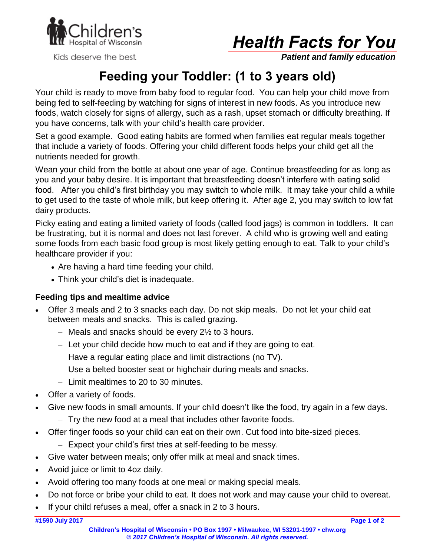

Kids deserve the best.



*Patient and family education*

# **Feeding your Toddler: (1 to 3 years old)**

Your child is ready to move from baby food to regular food. You can help your child move from being fed to self-feeding by watching for signs of interest in new foods. As you introduce new foods, watch closely for signs of allergy, such as a rash, upset stomach or difficulty breathing. If you have concerns, talk with your child's health care provider.

Set a good example. Good eating habits are formed when families eat regular meals together that include a variety of foods. Offering your child different foods helps your child get all the nutrients needed for growth.

Wean your child from the bottle at about one year of age. Continue breastfeeding for as long as you and your baby desire. It is important that breastfeeding doesn't interfere with eating solid food. After you child's first birthday you may switch to whole milk. It may take your child a while to get used to the taste of whole milk, but keep offering it. After age 2, you may switch to low fat dairy products.

Picky eating and eating a limited variety of foods (called food jags) is common in toddlers. It can be frustrating, but it is normal and does not last forever. A child who is growing well and eating some foods from each basic food group is most likely getting enough to eat. Talk to your child's healthcare provider if you:

- Are having a hard time feeding your child.
- Think your child's diet is inadequate.

#### **Feeding tips and mealtime advice**

- Offer 3 meals and 2 to 3 snacks each day. Do not skip meals. Do not let your child eat between meals and snacks. This is called grazing.
	- $-$  Meals and snacks should be every 2 $\frac{1}{2}$  to 3 hours.
	- Let your child decide how much to eat and **if** they are going to eat.
	- Have a regular eating place and limit distractions (no TV).
	- Use a belted booster seat or highchair during meals and snacks.
	- Limit mealtimes to 20 to 30 minutes.
- Offer a variety of foods.
- Give new foods in small amounts. If your child doesn't like the food, try again in a few days.
	- Try the new food at a meal that includes other favorite foods.
- Offer finger foods so your child can eat on their own. Cut food into bite-sized pieces.
	- Expect your child's first tries at self-feeding to be messy.
- Give water between meals; only offer milk at meal and snack times.
- Avoid juice or limit to 4oz daily.
- Avoid offering too many foods at one meal or making special meals.
- Do not force or bribe your child to eat. It does not work and may cause your child to overeat.
- If your child refuses a meal, offer a snack in 2 to 3 hours.